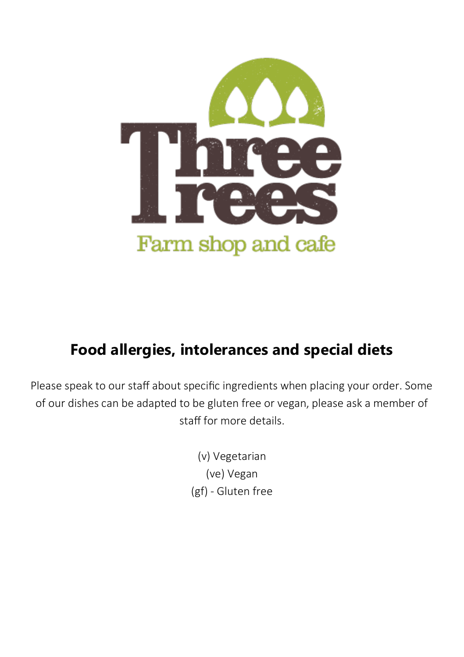

#### **Food allergies, intolerances and special diets**

Please speak to our staff about specific ingredients when placing your order. Some of our dishes can be adapted to be gluten free or vegan, please ask a member of staff for more details.

> (v) Vegetarian (ve) Vegan (gf) - Gluten free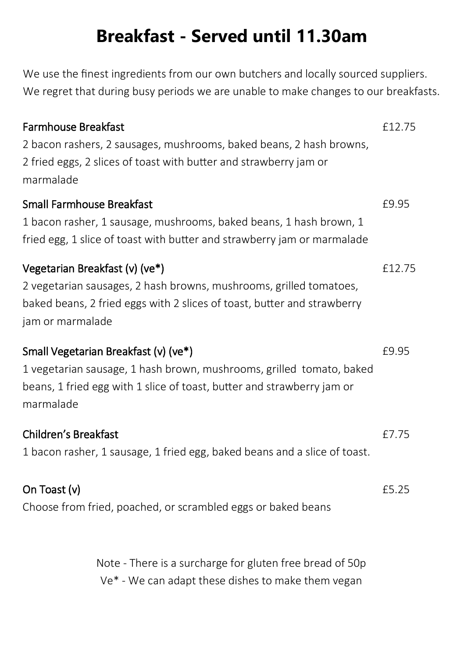### **Breakfast - Served until 11.30am**

We use the finest ingredients from our own butchers and locally sourced suppliers. We regret that during busy periods we are unable to make changes to our breakfasts.

| <b>Farmhouse Breakfast</b><br>2 bacon rashers, 2 sausages, mushrooms, baked beans, 2 hash browns,<br>2 fried eggs, 2 slices of toast with butter and strawberry jam or<br>marmalade                 | £12.75 |
|-----------------------------------------------------------------------------------------------------------------------------------------------------------------------------------------------------|--------|
| <b>Small Farmhouse Breakfast</b><br>1 bacon rasher, 1 sausage, mushrooms, baked beans, 1 hash brown, 1<br>fried egg, 1 slice of toast with butter and strawberry jam or marmalade                   | £9.95  |
| Vegetarian Breakfast (v) (ve*)<br>2 vegetarian sausages, 2 hash browns, mushrooms, grilled tomatoes,<br>baked beans, 2 fried eggs with 2 slices of toast, butter and strawberry<br>jam or marmalade | £12.75 |
| Small Vegetarian Breakfast (v) (ve*)<br>1 vegetarian sausage, 1 hash brown, mushrooms, grilled tomato, baked<br>beans, 1 fried egg with 1 slice of toast, butter and strawberry jam or<br>marmalade | £9.95  |
| Children's Breakfast<br>1 bacon rasher, 1 sausage, 1 fried egg, baked beans and a slice of toast.                                                                                                   | £7.75  |
| On Toast (v)<br>Choose from fried, poached, or scrambled eggs or baked beans                                                                                                                        | £5.25  |

Note - There is a surcharge for gluten free bread of 50p Ve\* - We can adapt these dishes to make them vegan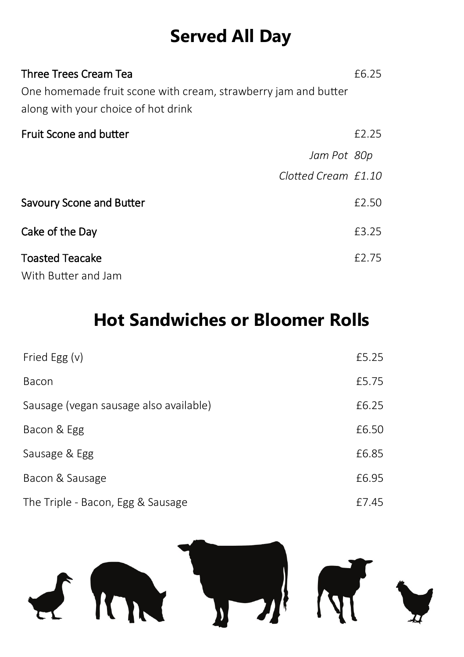# **Served All Day**

| Three Trees Cream Tea                                                                                 |                     | £6.25 |
|-------------------------------------------------------------------------------------------------------|---------------------|-------|
| One homemade fruit scone with cream, strawberry jam and butter<br>along with your choice of hot drink |                     |       |
| <b>Fruit Scone and butter</b>                                                                         |                     | £2.25 |
|                                                                                                       | Jam Pot 80p         |       |
|                                                                                                       | Clotted Cream £1.10 |       |
| <b>Savoury Scone and Butter</b>                                                                       |                     | £2.50 |
| Cake of the Day                                                                                       |                     | £3.25 |
| <b>Toasted Teacake</b><br>With Butter and Jam                                                         |                     | £2.75 |

### **Hot Sandwiches or Bloomer Rolls**

| Fried Egg (v)                          | £5.25 |
|----------------------------------------|-------|
| Bacon                                  | £5.75 |
| Sausage (vegan sausage also available) | £6.25 |
| Bacon & Egg                            | £6.50 |
| Sausage & Egg                          | £6.85 |
| Bacon & Sausage                        | £6.95 |
| The Triple - Bacon, Egg & Sausage      | £7.45 |

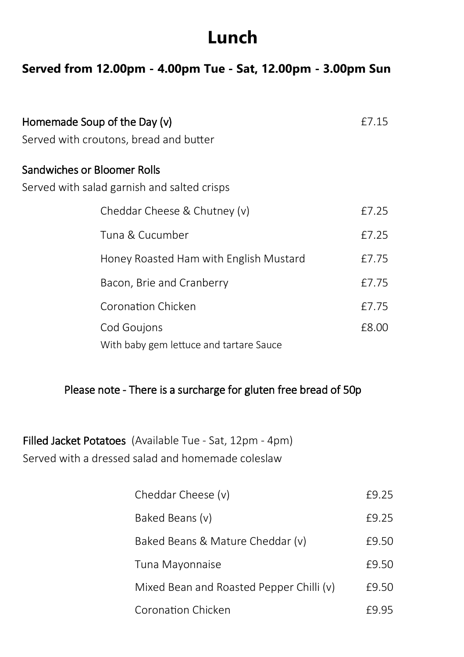#### **Lunch**

#### **Served from 12.00pm - 4.00pm Tue - Sat, 12.00pm - 3.00pm Sun**

| Homemade Soup of the Day (v)<br>Served with croutons, bread and butter     | £7.15 |
|----------------------------------------------------------------------------|-------|
| Sandwiches or Bloomer Rolls<br>Served with salad garnish and salted crisps |       |
| Cheddar Cheese & Chutney (v)                                               | £7.25 |
| Tuna & Cucumber                                                            | £7.25 |
| Honey Roasted Ham with English Mustard                                     | £7.75 |
| Bacon, Brie and Cranberry                                                  | £7.75 |
| Coronation Chicken                                                         | £7.75 |
| Cod Goujons<br>With baby gem lettuce and tartare Sauce                     | £8.00 |

#### Please note - There is a surcharge for gluten free bread of 50p

Filled Jacket Potatoes (Available Tue - Sat, 12pm - 4pm) Served with a dressed salad and homemade coleslaw

| Cheddar Cheese (v)                       | F9 25 |
|------------------------------------------|-------|
| Baked Beans (v)                          | F9 25 |
| Baked Beans & Mature Cheddar (v)         | £9.50 |
| Tuna Mayonnaise                          | £9.50 |
| Mixed Bean and Roasted Pepper Chilli (v) | £9.50 |
| Coronation Chicken                       | F9 95 |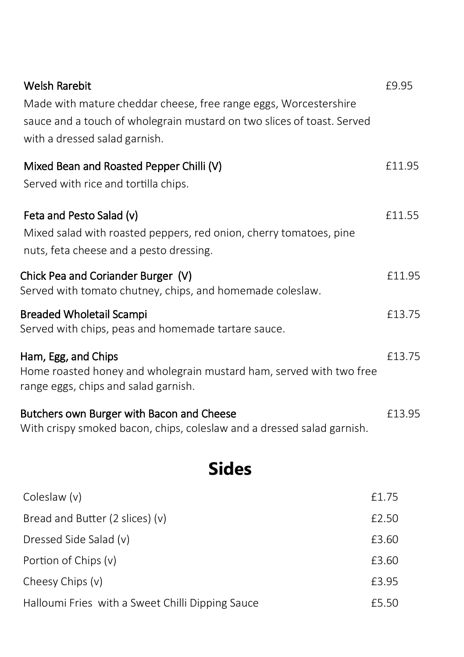| <b>Welsh Rarebit</b><br>Made with mature cheddar cheese, free range eggs, Worcestershire<br>sauce and a touch of wholegrain mustard on two slices of toast. Served<br>with a dressed salad garnish. | £9.95  |
|-----------------------------------------------------------------------------------------------------------------------------------------------------------------------------------------------------|--------|
| Mixed Bean and Roasted Pepper Chilli (V)<br>Served with rice and tortilla chips.                                                                                                                    | £11.95 |
| Feta and Pesto Salad (v)<br>Mixed salad with roasted peppers, red onion, cherry tomatoes, pine<br>nuts, feta cheese and a pesto dressing.                                                           | £11.55 |
| Chick Pea and Coriander Burger (V)<br>Served with tomato chutney, chips, and homemade coleslaw.                                                                                                     | £11.95 |
| <b>Breaded Wholetail Scampi</b><br>Served with chips, peas and homemade tartare sauce.                                                                                                              | £13.75 |
| Ham, Egg, and Chips<br>Home roasted honey and wholegrain mustard ham, served with two free<br>range eggs, chips and salad garnish.                                                                  | £13.75 |
| Butchers own Burger with Bacon and Cheese<br>With crispy smoked bacon, chips, coleslaw and a dressed salad garnish.                                                                                 | £13.95 |
| <b>Sides</b>                                                                                                                                                                                        |        |
| Coleslaw (v)                                                                                                                                                                                        | £1.75  |
| Bread and Butter (2 slices) (v)                                                                                                                                                                     | £2.50  |
| Dressed Side Salad (v)                                                                                                                                                                              | £3.60  |
| Portion of Chips (v)                                                                                                                                                                                | £3.60  |
| Cheesy Chips (v)                                                                                                                                                                                    | £3.95  |
| Halloumi Fries with a Sweet Chilli Dipping Sauce                                                                                                                                                    | £5.50  |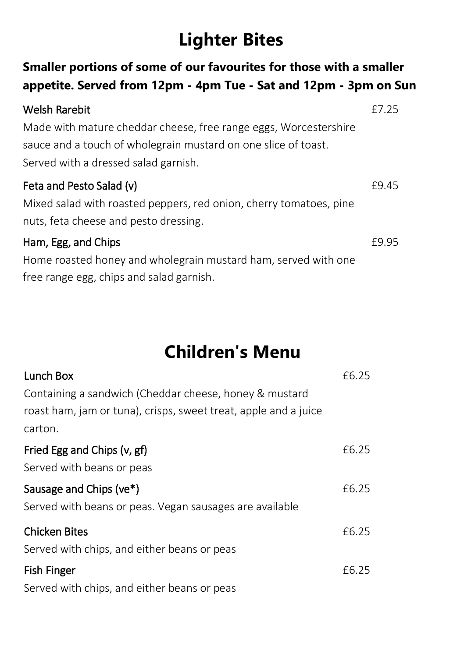### **Lighter Bites**

#### **appetite. Served from 12pm - 4pm Tue - Sat and 12pm - 3pm on Sun** Welsh Rarebit Made with mature cheddar cheese, free range eggs, Worcestershire sauce and a touch of wholegrain mustard on one slice of toast. Served with a dressed salad garnish. £7.25 Feta and Pesto Salad (v) Mixed salad with roasted peppers, red onion, cherry tomatoes, pine nuts, feta cheese and pesto dressing. £9.45 Ham, Egg, and Chips Home roasted honey and wholegrain mustard ham, served with one £9.95

**Smaller portions of some of our favourites for those with a smaller** 

free range egg, chips and salad garnish.

# **Children's Menu**

| Lunch Box                                                       | £6.25 |
|-----------------------------------------------------------------|-------|
| Containing a sandwich (Cheddar cheese, honey & mustard          |       |
| roast ham, jam or tuna), crisps, sweet treat, apple and a juice |       |
| carton.                                                         |       |
| Fried Egg and Chips (v, gf)                                     | £6.25 |
| Served with beans or peas                                       |       |
| Sausage and Chips (ve*)                                         | £6.25 |
| Served with beans or peas. Vegan sausages are available         |       |
| <b>Chicken Bites</b>                                            | £6.25 |
| Served with chips, and either beans or peas                     |       |
| <b>Fish Finger</b>                                              | £6.25 |
| Served with chips, and either beans or peas                     |       |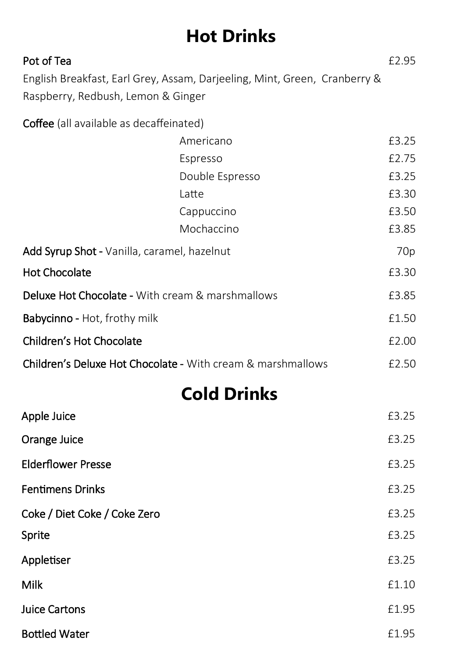## **Hot Drinks**

| Pot of Tea<br>Raspberry, Redbush, Lemon & Ginger            | English Breakfast, Earl Grey, Assam, Darjeeling, Mint, Green, Cranberry & | £2.95 |
|-------------------------------------------------------------|---------------------------------------------------------------------------|-------|
| Coffee (all available as decaffeinated)                     |                                                                           |       |
|                                                             | Americano                                                                 | £3.25 |
|                                                             | Espresso                                                                  | £2.75 |
|                                                             | Double Espresso                                                           | £3.25 |
|                                                             | Latte                                                                     | £3.30 |
|                                                             | Cappuccino                                                                | £3.50 |
|                                                             | Mochaccino                                                                | £3.85 |
| Add Syrup Shot - Vanilla, caramel, hazelnut                 |                                                                           | 70p   |
| <b>Hot Chocolate</b>                                        |                                                                           | £3.30 |
| Deluxe Hot Chocolate - With cream & marshmallows            |                                                                           | £3.85 |
| Babycinno - Hot, frothy milk                                |                                                                           | £1.50 |
| Children's Hot Chocolate                                    |                                                                           | £2.00 |
| Children's Deluxe Hot Chocolate - With cream & marshmallows |                                                                           | £2.50 |
|                                                             | <b>Cold Drinks</b>                                                        |       |
| Apple Juice                                                 |                                                                           | £3.25 |
| Orange Juice                                                |                                                                           | £3.25 |
| <b>Elderflower Presse</b>                                   |                                                                           | £3.25 |
| <b>Fentimens Drinks</b>                                     |                                                                           | £3.25 |
| Coke / Diet Coke / Coke Zero                                |                                                                           | £3.25 |
| Sprite                                                      |                                                                           | £3.25 |
| Appletiser                                                  |                                                                           | £3.25 |
| Milk                                                        |                                                                           | £1.10 |
| <b>Juice Cartons</b>                                        |                                                                           | £1.95 |
| <b>Bottled Water</b>                                        |                                                                           | £1.95 |